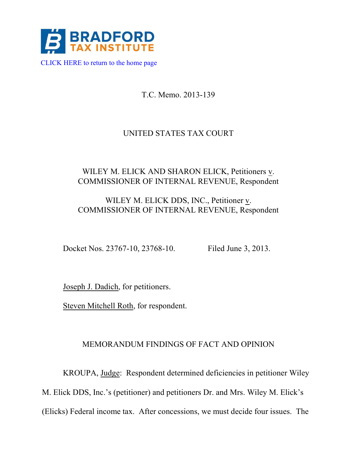

T.C. Memo. 2013-139

# UNITED STATES TAX COURT

# WILEY M. ELICK AND SHARON ELICK, Petitioners v. COMMISSIONER OF INTERNAL REVENUE, Respondent

# WILEY M. ELICK DDS, INC., Petitioner v. COMMISSIONER OF INTERNAL REVENUE, Respondent

Docket Nos. 23767-10, 23768-10. Filed June 3, 2013.

Joseph J. Dadich, for petitioners.

Steven Mitchell Roth, for respondent.

# MEMORANDUM FINDINGS OF FACT AND OPINION

KROUPA, Judge: Respondent determined deficiencies in petitioner Wiley

M. Elick DDS, Inc.'s (petitioner) and petitioners Dr. and Mrs. Wiley M. Elick's

(Elicks) Federal income tax. After concessions, we must decide four issues. The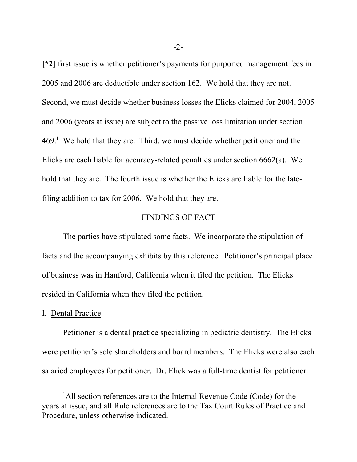**[\*2]** first issue is whether petitioner's payments for purported management fees in 2005 and 2006 are deductible under section 162. We hold that they are not. Second, we must decide whether business losses the Elicks claimed for 2004, 2005 and 2006 (years at issue) are subject to the passive loss limitation under section  $469<sup>1</sup>$  We hold that they are. Third, we must decide whether petitioner and the Elicks are each liable for accuracy-related penalties under section 6662(a). We hold that they are. The fourth issue is whether the Elicks are liable for the latefiling addition to tax for 2006. We hold that they are.

## FINDINGS OF FACT

The parties have stipulated some facts. We incorporate the stipulation of facts and the accompanying exhibits by this reference. Petitioner's principal place of business was in Hanford, California when it filed the petition. The Elicks resided in California when they filed the petition.

#### I. Dental Practice

Petitioner is a dental practice specializing in pediatric dentistry. The Elicks were petitioner's sole shareholders and board members. The Elicks were also each salaried employees for petitioner. Dr. Elick was a full-time dentist for petitioner.

 $\Delta$ <sup>1</sup>All section references are to the Internal Revenue Code (Code) for the years at issue, and all Rule references are to the Tax Court Rules of Practice and Procedure, unless otherwise indicated.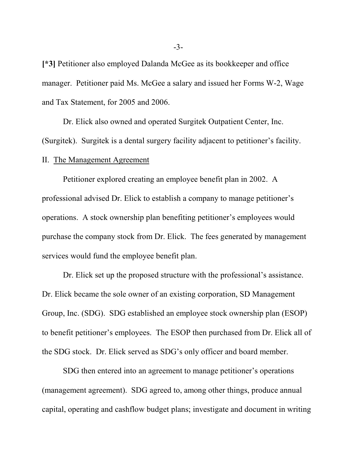**[\*3]** Petitioner also employed Dalanda McGee as its bookkeeper and office manager. Petitioner paid Ms. McGee a salary and issued her Forms W-2, Wage and Tax Statement, for 2005 and 2006.

Dr. Elick also owned and operated Surgitek Outpatient Center, Inc. (Surgitek). Surgitek is a dental surgery facility adjacent to petitioner's facility.

#### II. The Management Agreement

Petitioner explored creating an employee benefit plan in 2002. A professional advised Dr. Elick to establish a company to manage petitioner's operations. A stock ownership plan benefiting petitioner's employees would purchase the company stock from Dr. Elick. The fees generated by management services would fund the employee benefit plan.

Dr. Elick set up the proposed structure with the professional's assistance. Dr. Elick became the sole owner of an existing corporation, SD Management Group, Inc. (SDG). SDG established an employee stock ownership plan (ESOP) to benefit petitioner's employees. The ESOP then purchased from Dr. Elick all of the SDG stock. Dr. Elick served as SDG's only officer and board member.

SDG then entered into an agreement to manage petitioner's operations (management agreement). SDG agreed to, among other things, produce annual capital, operating and cashflow budget plans; investigate and document in writing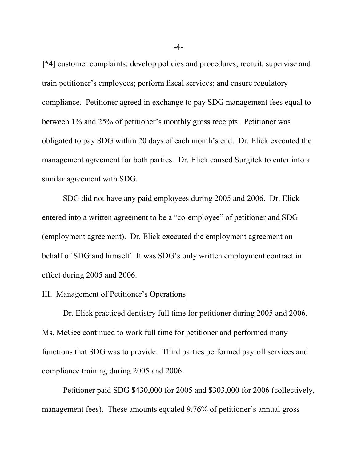**[\*4]** customer complaints; develop policies and procedures; recruit, supervise and train petitioner's employees; perform fiscal services; and ensure regulatory compliance. Petitioner agreed in exchange to pay SDG management fees equal to between 1% and 25% of petitioner's monthly gross receipts. Petitioner was obligated to pay SDG within 20 days of each month's end. Dr. Elick executed the management agreement for both parties. Dr. Elick caused Surgitek to enter into a similar agreement with SDG.

SDG did not have any paid employees during 2005 and 2006. Dr. Elick entered into a written agreement to be a "co-employee" of petitioner and SDG (employment agreement). Dr. Elick executed the employment agreement on behalf of SDG and himself. It was SDG's only written employment contract in effect during 2005 and 2006.

## III. Management of Petitioner's Operations

Dr. Elick practiced dentistry full time for petitioner during 2005 and 2006. Ms. McGee continued to work full time for petitioner and performed many functions that SDG was to provide. Third parties performed payroll services and compliance training during 2005 and 2006.

Petitioner paid SDG \$430,000 for 2005 and \$303,000 for 2006 (collectively, management fees). These amounts equaled 9.76% of petitioner's annual gross

 $-4-$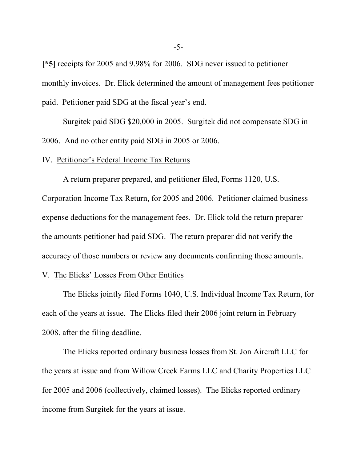**[\*5]** receipts for 2005 and 9.98% for 2006. SDG never issued to petitioner monthly invoices. Dr. Elick determined the amount of management fees petitioner paid. Petitioner paid SDG at the fiscal year's end.

Surgitek paid SDG \$20,000 in 2005. Surgitek did not compensate SDG in 2006. And no other entity paid SDG in 2005 or 2006.

#### IV. Petitioner's Federal Income Tax Returns

A return preparer prepared, and petitioner filed, Forms 1120, U.S. Corporation Income Tax Return, for 2005 and 2006. Petitioner claimed business expense deductions for the management fees. Dr. Elick told the return preparer the amounts petitioner had paid SDG. The return preparer did not verify the accuracy of those numbers or review any documents confirming those amounts.

# V. The Elicks' Losses From Other Entities

The Elicks jointly filed Forms 1040, U.S. Individual Income Tax Return, for each of the years at issue. The Elicks filed their 2006 joint return in February 2008, after the filing deadline.

The Elicks reported ordinary business losses from St. Jon Aircraft LLC for the years at issue and from Willow Creek Farms LLC and Charity Properties LLC for 2005 and 2006 (collectively, claimed losses). The Elicks reported ordinary income from Surgitek for the years at issue.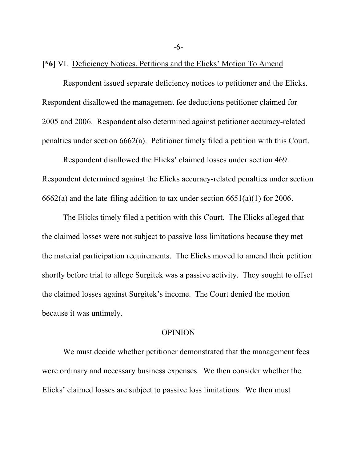-6-

# **[\*6]** VI. Deficiency Notices, Petitions and the Elicks' Motion To Amend

Respondent issued separate deficiency notices to petitioner and the Elicks. Respondent disallowed the management fee deductions petitioner claimed for 2005 and 2006. Respondent also determined against petitioner accuracy-related penalties under section 6662(a). Petitioner timely filed a petition with this Court.

Respondent disallowed the Elicks' claimed losses under section 469. Respondent determined against the Elicks accuracy-related penalties under section  $6662(a)$  and the late-filing addition to tax under section  $6651(a)(1)$  for 2006.

The Elicks timely filed a petition with this Court. The Elicks alleged that the claimed losses were not subject to passive loss limitations because they met the material participation requirements. The Elicks moved to amend their petition shortly before trial to allege Surgitek was a passive activity. They sought to offset the claimed losses against Surgitek's income. The Court denied the motion because it was untimely.

### **OPINION**

We must decide whether petitioner demonstrated that the management fees were ordinary and necessary business expenses. We then consider whether the Elicks' claimed losses are subject to passive loss limitations. We then must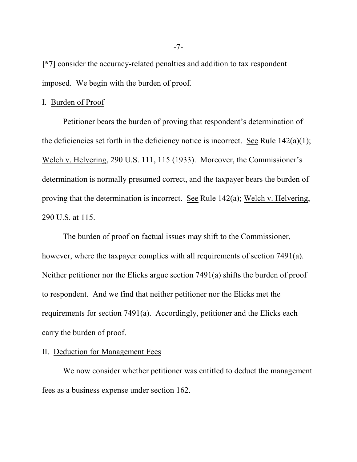**[\*7]** consider the accuracy-related penalties and addition to tax respondent imposed. We begin with the burden of proof.

## I. Burden of Proof

Petitioner bears the burden of proving that respondent's determination of the deficiencies set forth in the deficiency notice is incorrect. See Rule  $142(a)(1)$ ; Welch v. Helvering, 290 U.S. 111, 115 (1933). Moreover, the Commissioner's determination is normally presumed correct, and the taxpayer bears the burden of proving that the determination is incorrect. See Rule 142(a); Welch v. Helvering, 290 U.S. at 115.

The burden of proof on factual issues may shift to the Commissioner, however, where the taxpayer complies with all requirements of section 7491(a). Neither petitioner nor the Elicks argue section 7491(a) shifts the burden of proof to respondent. And we find that neither petitioner nor the Elicks met the requirements for section 7491(a). Accordingly, petitioner and the Elicks each carry the burden of proof.

### II. Deduction for Management Fees

We now consider whether petitioner was entitled to deduct the management fees as a business expense under section 162.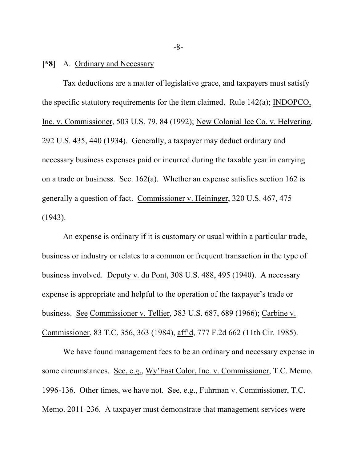#### **[\*8]** A. Ordinary and Necessary

Tax deductions are a matter of legislative grace, and taxpayers must satisfy the specific statutory requirements for the item claimed. Rule 142(a); INDOPCO, Inc. v. Commissioner, 503 U.S. 79, 84 (1992); New Colonial Ice Co. v. Helvering, 292 U.S. 435, 440 (1934). Generally, a taxpayer may deduct ordinary and necessary business expenses paid or incurred during the taxable year in carrying on a trade or business. Sec. 162(a). Whether an expense satisfies section 162 is generally a question of fact. Commissioner v. Heininger, 320 U.S. 467, 475 (1943).

An expense is ordinary if it is customary or usual within a particular trade, business or industry or relates to a common or frequent transaction in the type of business involved. Deputy v. du Pont, 308 U.S. 488, 495 (1940). A necessary expense is appropriate and helpful to the operation of the taxpayer's trade or business. See Commissioner v. Tellier, 383 U.S. 687, 689 (1966); Carbine v. Commissioner, 83 T.C. 356, 363 (1984), aff'd, 777 F.2d 662 (11th Cir. 1985).

We have found management fees to be an ordinary and necessary expense in some circumstances. See, e.g., Wy'East Color, Inc. v. Commissioner, T.C. Memo. 1996-136. Other times, we have not. See, e.g., Fuhrman v. Commissioner, T.C. Memo. 2011-236. A taxpayer must demonstrate that management services were

-8-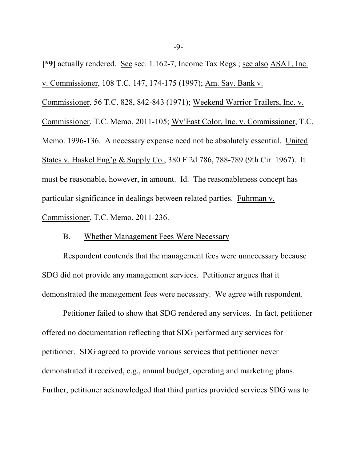**[\*9]** actually rendered. See sec. 1.162-7, Income Tax Regs.; see also ASAT, Inc. v. Commissioner, 108 T.C. 147, 174-175 (1997); Am. Sav. Bank v.

Commissioner, 56 T.C. 828, 842-843 (1971); Weekend Warrior Trailers, Inc. v. Commissioner, T.C. Memo. 2011-105; Wy'East Color, Inc. v. Commissioner, T.C. Memo. 1996-136. A necessary expense need not be absolutely essential. United States v. Haskel Eng'g & Supply Co., 380 F.2d 786, 788-789 (9th Cir. 1967). It must be reasonable, however, in amount. Id. The reasonableness concept has particular significance in dealings between related parties. Fuhrman v. Commissioner, T.C. Memo. 2011-236.

#### B. Whether Management Fees Were Necessary

Respondent contends that the management fees were unnecessary because SDG did not provide any management services. Petitioner argues that it demonstrated the management fees were necessary. We agree with respondent.

Petitioner failed to show that SDG rendered any services. In fact, petitioner offered no documentation reflecting that SDG performed any services for petitioner. SDG agreed to provide various services that petitioner never demonstrated it received, e.g., annual budget, operating and marketing plans. Further, petitioner acknowledged that third parties provided services SDG was to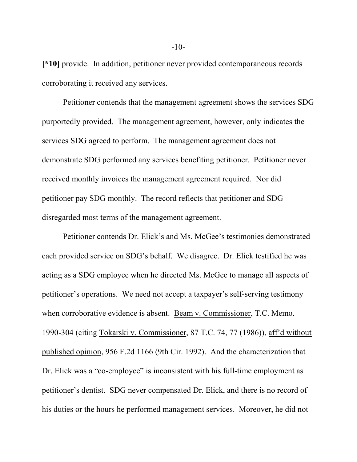**[\*10]** provide. In addition, petitioner never provided contemporaneous records corroborating it received any services.

Petitioner contends that the management agreement shows the services SDG purportedly provided. The management agreement, however, only indicates the services SDG agreed to perform. The management agreement does not demonstrate SDG performed any services benefiting petitioner. Petitioner never received monthly invoices the management agreement required. Nor did petitioner pay SDG monthly. The record reflects that petitioner and SDG disregarded most terms of the management agreement.

Petitioner contends Dr. Elick's and Ms. McGee's testimonies demonstrated each provided service on SDG's behalf. We disagree. Dr. Elick testified he was acting as a SDG employee when he directed Ms. McGee to manage all aspects of petitioner's operations. We need not accept a taxpayer's self-serving testimony when corroborative evidence is absent. Beam v. Commissioner, T.C. Memo. 1990-304 (citing Tokarski v. Commissioner, 87 T.C. 74, 77 (1986)), aff'd without published opinion, 956 F.2d 1166 (9th Cir. 1992). And the characterization that Dr. Elick was a "co-employee" is inconsistent with his full-time employment as petitioner's dentist. SDG never compensated Dr. Elick, and there is no record of his duties or the hours he performed management services. Moreover, he did not

 $-10-$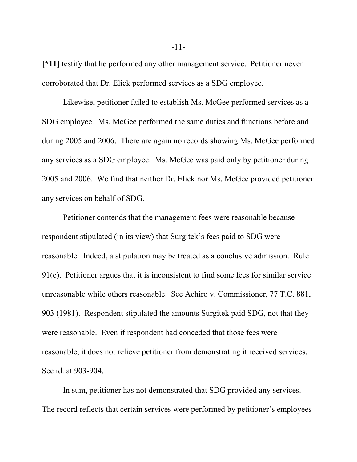**[\*11]** testify that he performed any other management service. Petitioner never corroborated that Dr. Elick performed services as a SDG employee.

Likewise, petitioner failed to establish Ms. McGee performed services as a SDG employee. Ms. McGee performed the same duties and functions before and during 2005 and 2006. There are again no records showing Ms. McGee performed any services as a SDG employee. Ms. McGee was paid only by petitioner during 2005 and 2006. We find that neither Dr. Elick nor Ms. McGee provided petitioner any services on behalf of SDG.

Petitioner contends that the management fees were reasonable because respondent stipulated (in its view) that Surgitek's fees paid to SDG were reasonable. Indeed, a stipulation may be treated as a conclusive admission. Rule 91(e). Petitioner argues that it is inconsistent to find some fees for similar service unreasonable while others reasonable. See Achiro v. Commissioner, 77 T.C. 881, 903 (1981). Respondent stipulated the amounts Surgitek paid SDG, not that they were reasonable. Even if respondent had conceded that those fees were reasonable, it does not relieve petitioner from demonstrating it received services. See id. at 903-904.

In sum, petitioner has not demonstrated that SDG provided any services. The record reflects that certain services were performed by petitioner's employees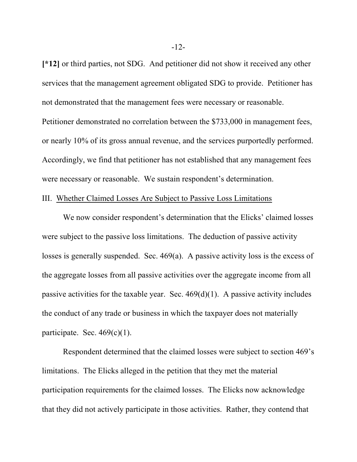**[\*12]** or third parties, not SDG. And petitioner did not show it received any other services that the management agreement obligated SDG to provide. Petitioner has not demonstrated that the management fees were necessary or reasonable. Petitioner demonstrated no correlation between the \$733,000 in management fees, or nearly 10% of its gross annual revenue, and the services purportedly performed. Accordingly, we find that petitioner has not established that any management fees were necessary or reasonable. We sustain respondent's determination.

## III. Whether Claimed Losses Are Subject to Passive Loss Limitations

We now consider respondent's determination that the Elicks' claimed losses were subject to the passive loss limitations. The deduction of passive activity losses is generally suspended. Sec. 469(a). A passive activity loss is the excess of the aggregate losses from all passive activities over the aggregate income from all passive activities for the taxable year. Sec.  $469(d)(1)$ . A passive activity includes the conduct of any trade or business in which the taxpayer does not materially participate. Sec.  $469(c)(1)$ .

Respondent determined that the claimed losses were subject to section 469's limitations. The Elicks alleged in the petition that they met the material participation requirements for the claimed losses. The Elicks now acknowledge that they did not actively participate in those activities. Rather, they contend that

-12-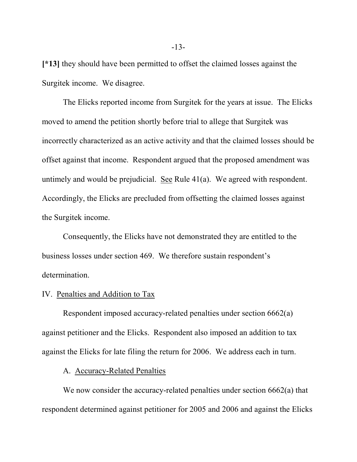**[\*13]** they should have been permitted to offset the claimed losses against the Surgitek income. We disagree.

The Elicks reported income from Surgitek for the years at issue. The Elicks moved to amend the petition shortly before trial to allege that Surgitek was incorrectly characterized as an active activity and that the claimed losses should be offset against that income. Respondent argued that the proposed amendment was untimely and would be prejudicial. See Rule 41(a). We agreed with respondent. Accordingly, the Elicks are precluded from offsetting the claimed losses against the Surgitek income.

Consequently, the Elicks have not demonstrated they are entitled to the business losses under section 469. We therefore sustain respondent's determination.

## IV. Penalties and Addition to Tax

Respondent imposed accuracy-related penalties under section 6662(a) against petitioner and the Elicks. Respondent also imposed an addition to tax against the Elicks for late filing the return for 2006. We address each in turn.

# A. Accuracy-Related Penalties

We now consider the accuracy-related penalties under section 6662(a) that respondent determined against petitioner for 2005 and 2006 and against the Elicks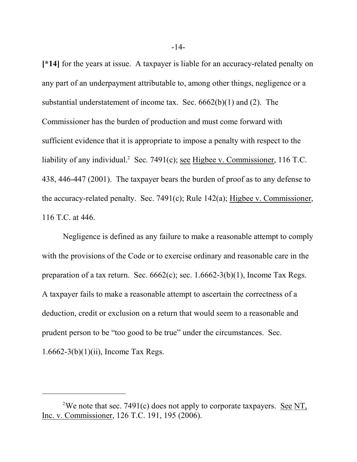**[\*14]** for the years at issue. A taxpayer is liable for an accuracy-related penalty on any part of an underpayment attributable to, among other things, negligence or a substantial understatement of income tax. Sec. 6662(b)(1) and (2). The Commissioner has the burden of production and must come forward with sufficient evidence that it is appropriate to impose a penalty with respect to the liability of any individual.<sup>2</sup> Sec. 7491(c); see Higbee v. Commissioner, 116 T.C. 438, 446-447 (2001). The taxpayer bears the burden of proof as to any defense to the accuracy-related penalty. Sec. 7491(c); Rule 142(a); Higbee v. Commissioner, 116 T.C. at 446.

Negligence is defined as any failure to make a reasonable attempt to comply with the provisions of the Code or to exercise ordinary and reasonable care in the preparation of a tax return. Sec.  $6662(c)$ ; sec.  $1.6662-3(b)(1)$ , Income Tax Regs. A taxpayer fails to make a reasonable attempt to ascertain the correctness of a deduction, credit or exclusion on a return that would seem to a reasonable and prudent person to be "too good to be true" under the circumstances. Sec. 1.6662-3(b)(1)(ii), Income Tax Regs.

<sup>&</sup>lt;sup>2</sup>We note that sec. 7491(c) does not apply to corporate taxpayers. <u>See NT</u>, Inc. v. Commissioner, 126 T.C. 191, 195 (2006).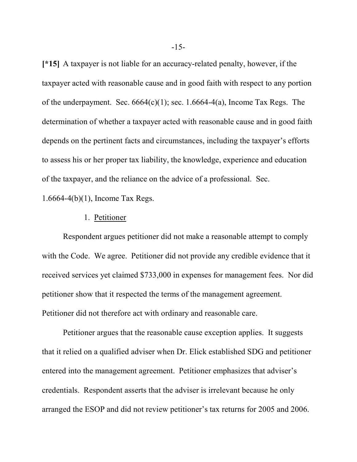**[\*15]** A taxpayer is not liable for an accuracy-related penalty, however, if the taxpayer acted with reasonable cause and in good faith with respect to any portion of the underpayment. Sec.  $6664(c)(1)$ ; sec. 1.6664-4(a), Income Tax Regs. The determination of whether a taxpayer acted with reasonable cause and in good faith depends on the pertinent facts and circumstances, including the taxpayer's efforts to assess his or her proper tax liability, the knowledge, experience and education of the taxpayer, and the reliance on the advice of a professional. Sec. 1.6664-4(b)(1), Income Tax Regs.

#### 1. Petitioner

Respondent argues petitioner did not make a reasonable attempt to comply with the Code. We agree. Petitioner did not provide any credible evidence that it received services yet claimed \$733,000 in expenses for management fees. Nor did petitioner show that it respected the terms of the management agreement. Petitioner did not therefore act with ordinary and reasonable care.

Petitioner argues that the reasonable cause exception applies. It suggests that it relied on a qualified adviser when Dr. Elick established SDG and petitioner entered into the management agreement. Petitioner emphasizes that adviser's credentials. Respondent asserts that the adviser is irrelevant because he only arranged the ESOP and did not review petitioner's tax returns for 2005 and 2006.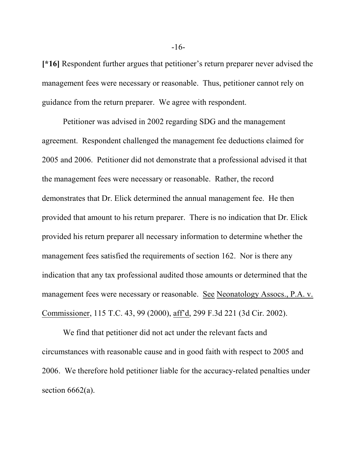**[\*16]** Respondent further argues that petitioner's return preparer never advised the management fees were necessary or reasonable. Thus, petitioner cannot rely on guidance from the return preparer. We agree with respondent.

Petitioner was advised in 2002 regarding SDG and the management agreement. Respondent challenged the management fee deductions claimed for 2005 and 2006. Petitioner did not demonstrate that a professional advised it that the management fees were necessary or reasonable. Rather, the record demonstrates that Dr. Elick determined the annual management fee. He then provided that amount to his return preparer. There is no indication that Dr. Elick provided his return preparer all necessary information to determine whether the management fees satisfied the requirements of section 162. Nor is there any indication that any tax professional audited those amounts or determined that the management fees were necessary or reasonable. See Neonatology Assocs., P.A. v. Commissioner, 115 T.C. 43, 99 (2000), aff'd, 299 F.3d 221 (3d Cir. 2002).

We find that petitioner did not act under the relevant facts and circumstances with reasonable cause and in good faith with respect to 2005 and 2006. We therefore hold petitioner liable for the accuracy-related penalties under section  $6662(a)$ .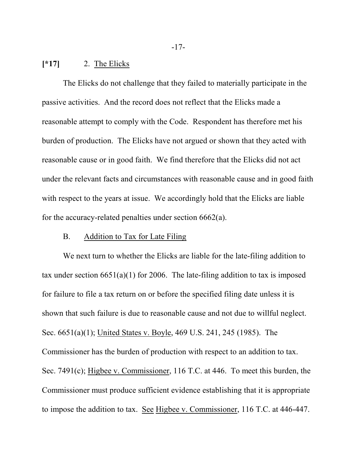# **[\*17]** 2. The Elicks

The Elicks do not challenge that they failed to materially participate in the passive activities. And the record does not reflect that the Elicks made a reasonable attempt to comply with the Code. Respondent has therefore met his burden of production. The Elicks have not argued or shown that they acted with reasonable cause or in good faith. We find therefore that the Elicks did not act under the relevant facts and circumstances with reasonable cause and in good faith with respect to the years at issue. We accordingly hold that the Elicks are liable for the accuracy-related penalties under section 6662(a).

#### B. Addition to Tax for Late Filing

We next turn to whether the Elicks are liable for the late-filing addition to tax under section  $6651(a)(1)$  for 2006. The late-filing addition to tax is imposed for failure to file a tax return on or before the specified filing date unless it is shown that such failure is due to reasonable cause and not due to willful neglect. Sec. 6651(a)(1); United States v. Boyle, 469 U.S. 241, 245 (1985). The Commissioner has the burden of production with respect to an addition to tax. Sec. 7491(c); Higbee v. Commissioner, 116 T.C. at 446. To meet this burden, the Commissioner must produce sufficient evidence establishing that it is appropriate to impose the addition to tax. See Higbee v. Commissioner, 116 T.C. at 446-447.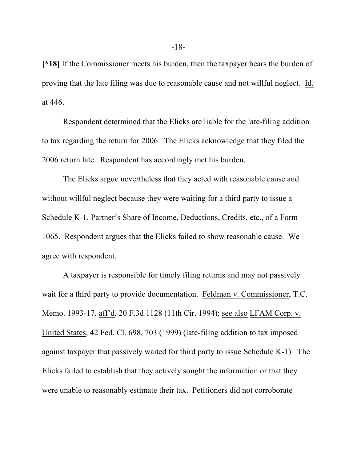**[\*18]** If the Commissioner meets his burden, then the taxpayer bears the burden of proving that the late filing was due to reasonable cause and not willful neglect. Id. at 446.

Respondent determined that the Elicks are liable for the late-filing addition to tax regarding the return for 2006. The Elicks acknowledge that they filed the 2006 return late. Respondent has accordingly met his burden.

The Elicks argue nevertheless that they acted with reasonable cause and without willful neglect because they were waiting for a third party to issue a Schedule K-1, Partner's Share of Income, Deductions, Credits, etc., of a Form 1065. Respondent argues that the Elicks failed to show reasonable cause. We agree with respondent.

A taxpayer is responsible for timely filing returns and may not passively wait for a third party to provide documentation. Feldman v. Commissioner, T.C. Memo. 1993-17, aff'd, 20 F.3d 1128 (11th Cir. 1994); see also LFAM Corp. v. United States, 42 Fed. Cl. 698, 703 (1999) (late-filing addition to tax imposed against taxpayer that passively waited for third party to issue Schedule K-1). The Elicks failed to establish that they actively sought the information or that they were unable to reasonably estimate their tax. Petitioners did not corroborate